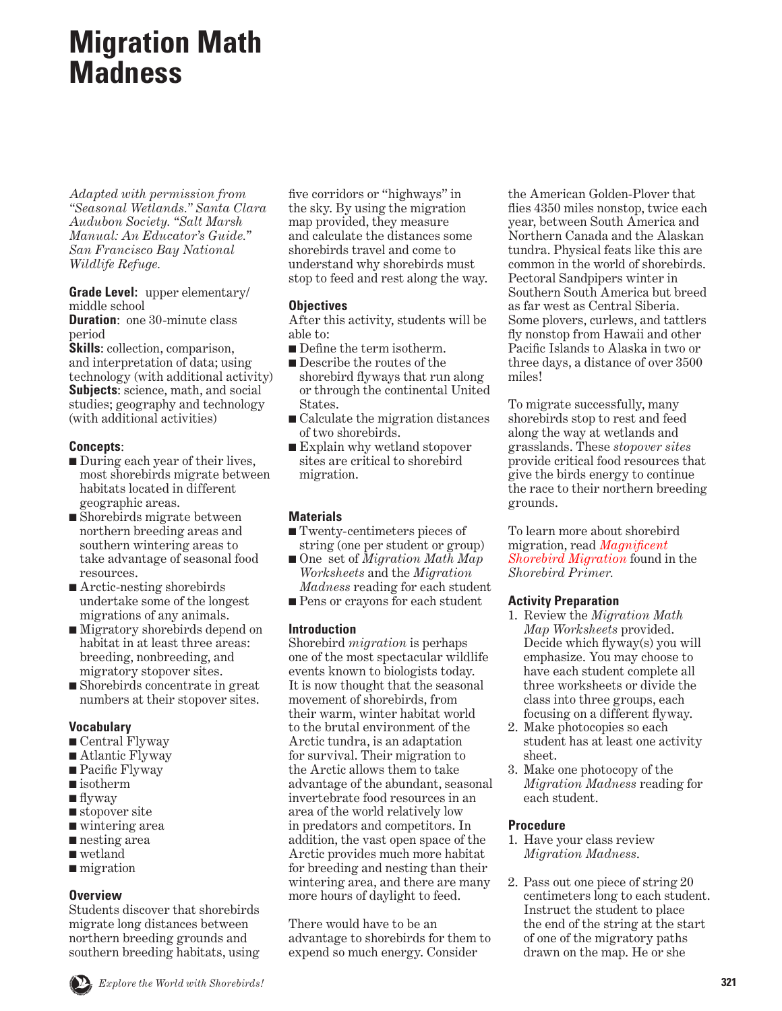# **Migration Math Madness**

*Adapted with permission from "Seasonal Wetlands." Santa Clara Audubon Society. "Salt Marsh Manual: An Educator's Guide." San Francisco Bay National Wildlife Refuge.*

**Grade Level:** upper elementary/ middle school

**Duration:** one 30-minute class period

**Skills**: collection, comparison, and interpretation of data; using technology (with additional activity) **Subjects**: science, math, and social studies; geography and technology (with additional activities)

# **Concepts**:

- During each year of their lives, most shorebirds migrate between habitats located in different geographic areas.
- Shorebirds migrate between northern breeding areas and southern wintering areas to take advantage of seasonal food resources.
- Arctic-nesting shorebirds undertake some of the longest migrations of any animals.
- Migratory shorebirds depend on habitat in at least three areas: breeding, nonbreeding, and migratory stopover sites.
- Shorebirds concentrate in great numbers at their stopover sites.

# **Vocabulary**

- Central Flyway
- Atlantic Flyway
- Pacific Flyway
- isotherm
- flyway
- stopover site
- wintering area
- nesting area
- wetland
- migration

# **Overview**

Students discover that shorebirds migrate long distances between northern breeding grounds and southern breeding habitats, using five corridors or "highways" in the sky. By using the migration map provided, they measure and calculate the distances some shorebirds travel and come to understand why shorebirds must stop to feed and rest along the way.

# **Objectives**

After this activity, students will be able to:

- Define the term isotherm.
- Describe the routes of the shorebird flyways that run along or through the continental United States.
- Calculate the migration distances of two shorebirds.
- Explain why wetland stopover sites are critical to shorebird migration.

# **Materials**

- Twenty-centimeters pieces of string (one per student or group)
- One set of *Migration Math Map Worksheets* and the *Migration Madness* reading for each student
- Pens or crayons for each student

# **Introduction**

Shorebird *migration* is perhaps one of the most spectacular wildlife events known to biologists today. It is now thought that the seasonal movement of shorebirds, from their warm, winter habitat world to the brutal environment of the Arctic tundra, is an adaptation for survival. Their migration to the Arctic allows them to take advantage of the abundant, seasonal invertebrate food resources in an area of the world relatively low in predators and competitors. In addition, the vast open space of the Arctic provides much more habitat for breeding and nesting than their wintering area, and there are many more hours of daylight to feed.

There would have to be an advantage to shorebirds for them to expend so much energy. Consider

the American Golden-Plover that flies 4350 miles nonstop, twice each year, between South America and Northern Canada and the Alaskan tundra. Physical feats like this are common in the world of shorebirds. Pectoral Sandpipers winter in Southern South America but breed as far west as Central Siberia. Some plovers, curlews, and tattlers fly nonstop from Hawaii and other Pacific Islands to Alaska in two or three days, a distance of over 3500 miles!

To migrate successfully, many shorebirds stop to rest and feed along the way at wetlands and grasslands. These *stopover sites*  provide critical food resources that give the birds energy to continue the race to their northern breeding grounds.

To learn more about shorebird migration, read *Magnificent [Shorebird Migration](#page-14-0)* found in the *Shorebird Primer.*

# **Activity Preparation**

- 1. Review the *Migration Math Map Worksheets* provided. Decide which flyway(s) you will emphasize. You may choose to have each student complete all three worksheets or divide the class into three groups, each focusing on a different flyway.
- 2. Make photocopies so each student has at least one activity sheet.
- 3. Make one photocopy of the *Migration Madness* reading for each student.

# **Procedure**

- 1. Have your class review *Migration Madness*.
- 2. Pass out one piece of string 20 centimeters long to each student. Instruct the student to place the end of the string at the start of one of the migratory paths drawn on the map. He or she

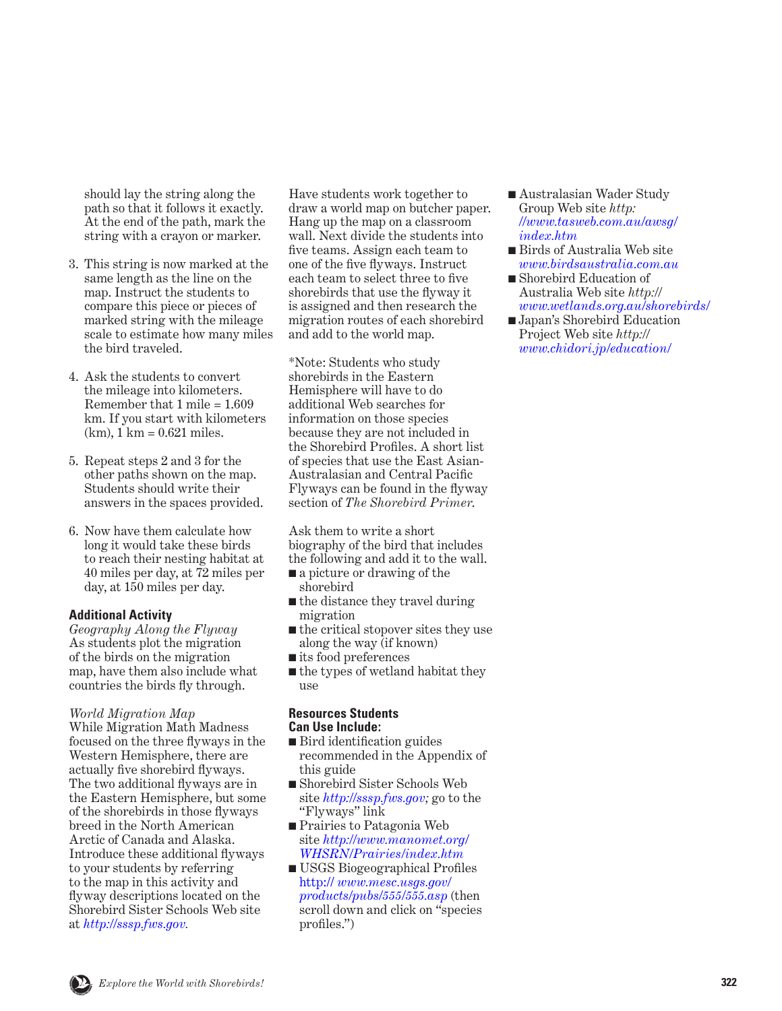should lay the string along the path so that it follows it exactly. At the end of the path, mark the string with a crayon or marker.

- 3. This string is now marked at the same length as the line on the map. Instruct the students to compare this piece or pieces of marked string with the mileage scale to estimate how many miles the bird traveled.
- 4. Ask the students to convert the mileage into kilometers. Remember that 1 mile = 1.609 km. If you start with kilometers  $(km)$ , 1 km = 0.621 miles.
- 5. Repeat steps 2 and 3 for the other paths shown on the map. Students should write their answers in the spaces provided.
- 6. Now have them calculate how long it would take these birds to reach their nesting habitat at 40 miles per day, at 72 miles per day, at 150 miles per day.

### **Additional Activity**

*Geography Along the Flyway* As students plot the migration of the birds on the migration map, have them also include what countries the birds fly through.

#### *World Migration Map*

While Migration Math Madness focused on the three flyways in the Western Hemisphere, there are actually five shorebird flyways. The two additional flyways are in the Eastern Hemisphere, but some of the shorebirds in those flyways breed in the North American Arctic of Canada and Alaska. Introduce these additional flyways to your students by referring to the map in this activity and flyway descriptions located on the Shorebird Sister Schools Web site at *[http://sssp.fws.gov.](http://sssp.fws.gov)*

Have students work together to draw a world map on butcher paper. Hang up the map on a classroom wall. Next divide the students into five teams. Assign each team to one of the five flyways. Instruct each team to select three to five shorebirds that use the flyway it is assigned and then research the migration routes of each shorebird and add to the world map.

\*Note: Students who study shorebirds in the Eastern Hemisphere will have to do additional Web searches for information on those species because they are not included in the Shorebird Profiles. A short list of species that use the East Asian-Australasian and Central Pacific Flyways can be found in the flyway section of *The Shorebird Primer*.

Ask them to write a short biography of the bird that includes the following and add it to the wall.

- a picture or drawing of the shorebird
- the distance they travel during migration
- the critical stopover sites they use along the way (if known)
- its food preferences
- the types of wetland habitat they  $\overline{1180}$

#### **Resources Students Can Use Include:**

- Bird identification guides recommended in the Appendix of this guide
- Shorebird Sister Schools Web site *[http://sssp.fws.gov]( http://sssp.fws.gov );* go to the "Flyways" link
- Prairies to Patagonia Web site *[http://www.manomet.org/](http://www.manomet.org/WHSRN/Prairies/index.htm) WHSRN/Prairies/index.htm*
- USGS Biogeographical Profiles http:// *[www.mesc.usgs.gov/]( http://www.mesc.usgs.gov/products/pubs/555/555.asp ) [products/pubs/555/555.asp]( http://www.mesc.usgs.gov/products/pubs/555/555.asp )* (then scroll down and click on "species profiles.")
- Australasian Wader Study Group Web site *[http:](http://www.tasweb.com.au/awsg/index.htm) [//www.tasweb.com.au/awsg/](http://www.tasweb.com.au/awsg/index.htm) [index.htm](http://www.tasweb.com.au/awsg/index.htm)*
- Birds of Australia Web site *<www.birdsaustralia.com.au>*
- Shorebird Education of Australia Web site *http:// www.wetlands.org.au/shorebirds/*
- Japan's Shorebird Education Project Web site *[http://](http://www.chidori.jp/education/) [www.chidori.jp/education/](http://www.chidori.jp/education/)*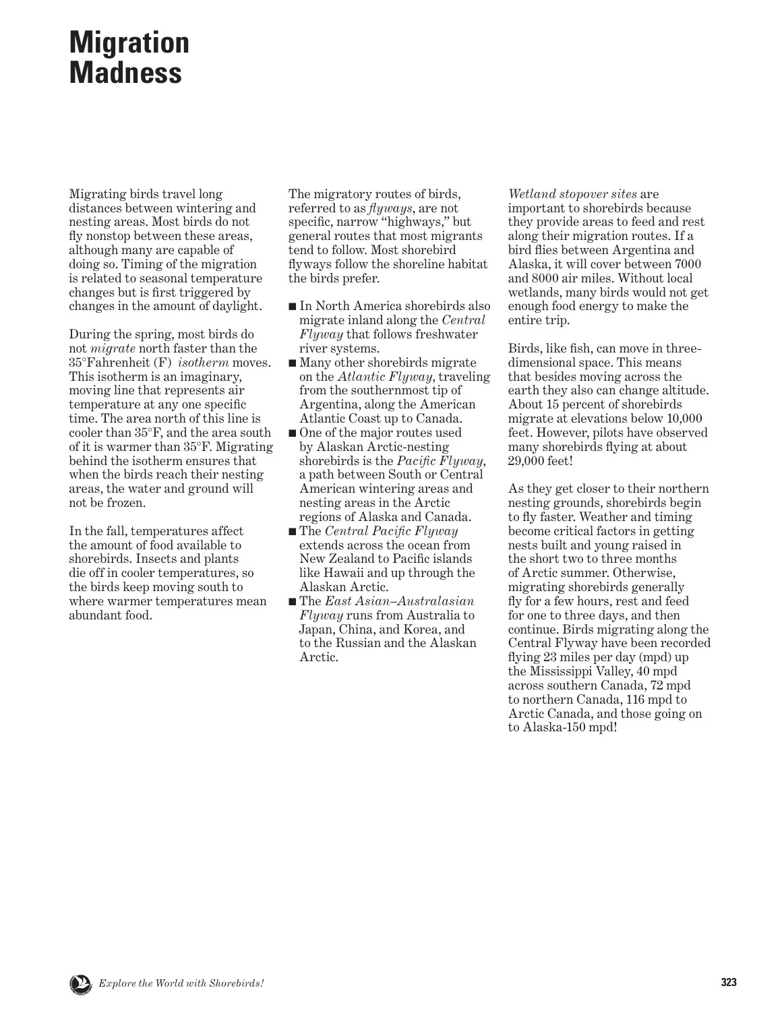# **Migration Madness**

Migrating birds travel long distances between wintering and nesting areas. Most birds do not fly nonstop between these areas, although many are capable of doing so. Timing of the migration is related to seasonal temperature changes but is first triggered by changes in the amount of daylight.

During the spring, most birds do not *migrate* north faster than the 35°Fahrenheit (F) *isotherm* moves. This isotherm is an imaginary, moving line that represents air temperature at any one specific time. The area north of this line is cooler than 35°F, and the area south of it is warmer than 35°F. Migrating behind the isotherm ensures that when the birds reach their nesting areas, the water and ground will not be frozen.

In the fall, temperatures affect the amount of food available to shorebirds. Insects and plants die off in cooler temperatures, so the birds keep moving south to where warmer temperatures mean abundant food.

The migratory routes of birds, referred to as *flyways*, are not specific, narrow "highways," but general routes that most migrants tend to follow. Most shorebird flyways follow the shoreline habitat the birds prefer.

- In North America shorebirds also migrate inland along the *Central Flyway* that follows freshwater river systems.
- Many other shorebirds migrate on the *Atlantic Flyway*, traveling from the southernmost tip of Argentina, along the American Atlantic Coast up to Canada.
- One of the major routes used by Alaskan Arctic-nesting shorebirds is the *Pacific Flyway*, a path between South or Central American wintering areas and nesting areas in the Arctic regions of Alaska and Canada.
- The *Central Pacific Flyway* extends across the ocean from New Zealand to Pacific islands like Hawaii and up through the Alaskan Arctic.
- The *East Asian–Australasian Flyway* runs from Australia to Japan, China, and Korea, and to the Russian and the Alaskan Arctic.

*Wetland stopover sites* are important to shorebirds because they provide areas to feed and rest along their migration routes. If a bird flies between Argentina and Alaska, it will cover between 7000 and 8000 air miles. Without local wetlands, many birds would not get enough food energy to make the entire trip.

Birds, like fish, can move in threedimensional space. This means that besides moving across the earth they also can change altitude. About 15 percent of shorebirds migrate at elevations below 10,000 feet. However, pilots have observed many shorebirds flying at about 29,000 feet!

As they get closer to their northern nesting grounds, shorebirds begin to fly faster. Weather and timing become critical factors in getting nests built and young raised in the short two to three months of Arctic summer. Otherwise, migrating shorebirds generally fly for a few hours, rest and feed for one to three days, and then continue. Birds migrating along the Central Flyway have been recorded flying 23 miles per day (mpd) up the Mississippi Valley, 40 mpd across southern Canada, 72 mpd to northern Canada, 116 mpd to Arctic Canada, and those going on to Alaska-150 mpd!

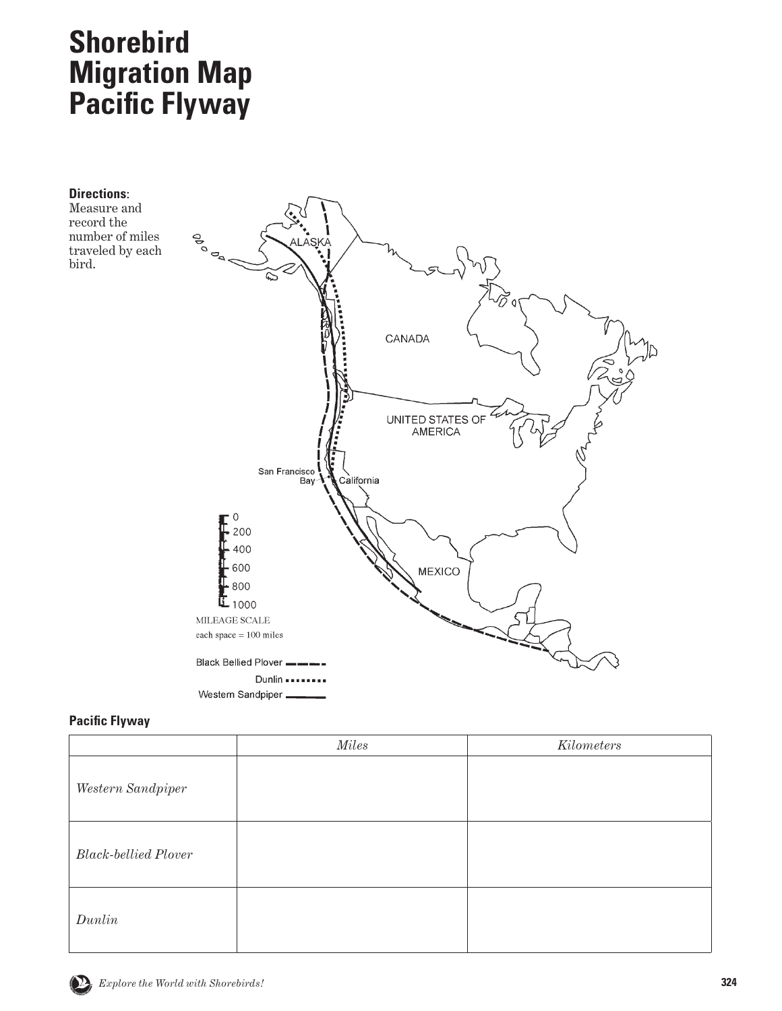# **Shorebird Migration Map Pacific Flyway**



# **Pacific Flyway**

|                             | Miles | Kilometers |
|-----------------------------|-------|------------|
| Western Sandpiper           |       |            |
| <b>Black-bellied Plover</b> |       |            |
| Dunlin                      |       |            |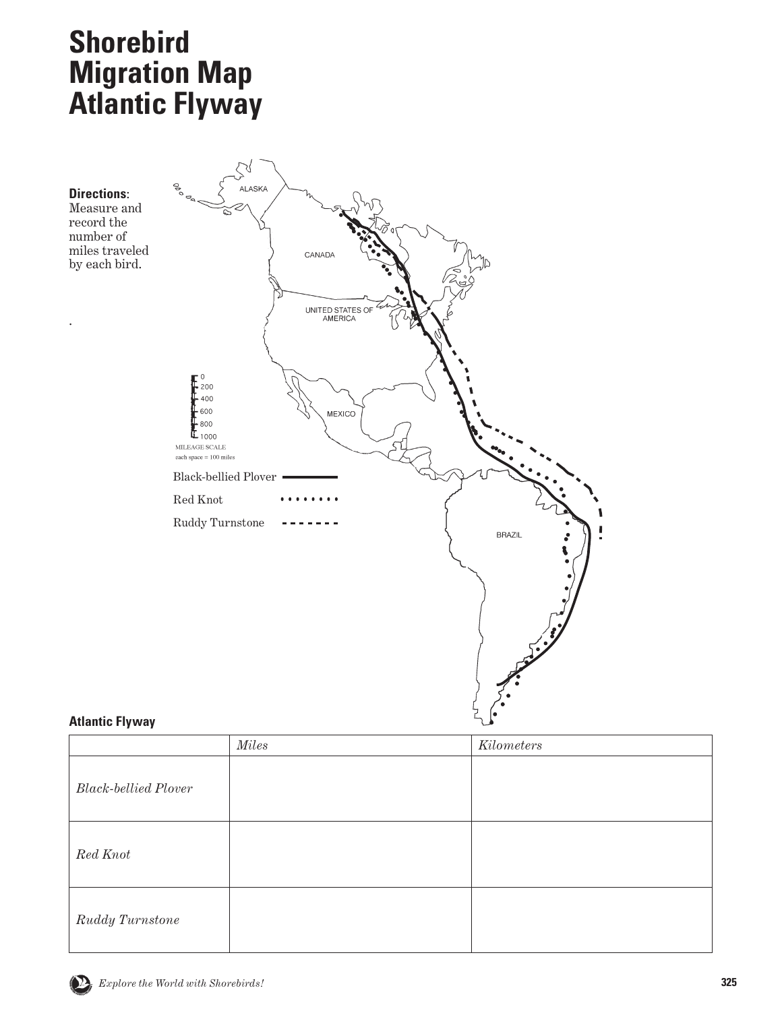# **Shorebird Migration Map Atlantic Flyway**



# **Atlantic Flyway**

|                             | <i>Miles</i> | Kilometers |
|-----------------------------|--------------|------------|
| <b>Black-bellied Plover</b> |              |            |
| Red Knot                    |              |            |
| Ruddy Turnstone             |              |            |